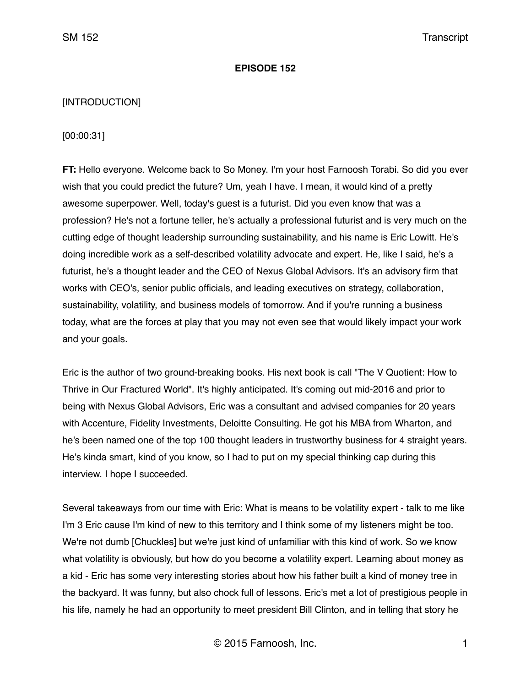#### **EPISODE 152**

### [INTRODUCTION]

#### [00:00:31]

**FT:** Hello everyone. Welcome back to So Money. I'm your host Farnoosh Torabi. So did you ever wish that you could predict the future? Um, yeah I have. I mean, it would kind of a pretty awesome superpower. Well, today's guest is a futurist. Did you even know that was a profession? He's not a fortune teller, he's actually a professional futurist and is very much on the cutting edge of thought leadership surrounding sustainability, and his name is Eric Lowitt. He's doing incredible work as a self-described volatility advocate and expert. He, like I said, he's a futurist, he's a thought leader and the CEO of Nexus Global Advisors. It's an advisory firm that works with CEO's, senior public officials, and leading executives on strategy, collaboration, sustainability, volatility, and business models of tomorrow. And if you're running a business today, what are the forces at play that you may not even see that would likely impact your work and your goals.

Eric is the author of two ground-breaking books. His next book is call "The V Quotient: How to Thrive in Our Fractured World". It's highly anticipated. It's coming out mid-2016 and prior to being with Nexus Global Advisors, Eric was a consultant and advised companies for 20 years with Accenture, Fidelity Investments, Deloitte Consulting. He got his MBA from Wharton, and he's been named one of the top 100 thought leaders in trustworthy business for 4 straight years. He's kinda smart, kind of you know, so I had to put on my special thinking cap during this interview. I hope I succeeded.

Several takeaways from our time with Eric: What is means to be volatility expert - talk to me like I'm 3 Eric cause I'm kind of new to this territory and I think some of my listeners might be too. We're not dumb [Chuckles] but we're just kind of unfamiliar with this kind of work. So we know what volatility is obviously, but how do you become a volatility expert. Learning about money as a kid - Eric has some very interesting stories about how his father built a kind of money tree in the backyard. It was funny, but also chock full of lessons. Eric's met a lot of prestigious people in his life, namely he had an opportunity to meet president Bill Clinton, and in telling that story he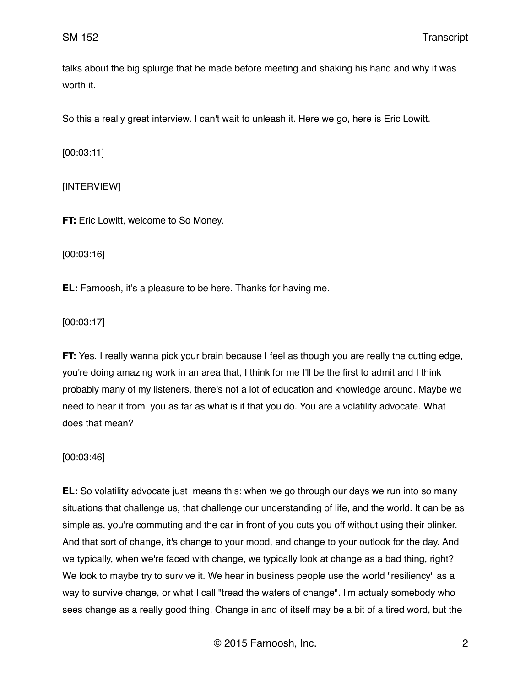talks about the big splurge that he made before meeting and shaking his hand and why it was worth it.

So this a really great interview. I can't wait to unleash it. Here we go, here is Eric Lowitt.

[00:03:11]

## [INTERVIEW]

**FT:** Eric Lowitt, welcome to So Money.

[00:03:16]

**EL:** Farnoosh, it's a pleasure to be here. Thanks for having me.

[00:03:17]

**FT:** Yes. I really wanna pick your brain because I feel as though you are really the cutting edge, you're doing amazing work in an area that, I think for me I'll be the first to admit and I think probably many of my listeners, there's not a lot of education and knowledge around. Maybe we need to hear it from you as far as what is it that you do. You are a volatility advocate. What does that mean?

[00:03:46]

**EL:** So volatility advocate just means this: when we go through our days we run into so many situations that challenge us, that challenge our understanding of life, and the world. It can be as simple as, you're commuting and the car in front of you cuts you off without using their blinker. And that sort of change, it's change to your mood, and change to your outlook for the day. And we typically, when we're faced with change, we typically look at change as a bad thing, right? We look to maybe try to survive it. We hear in business people use the world "resiliency" as a way to survive change, or what I call "tread the waters of change". I'm actualy somebody who sees change as a really good thing. Change in and of itself may be a bit of a tired word, but the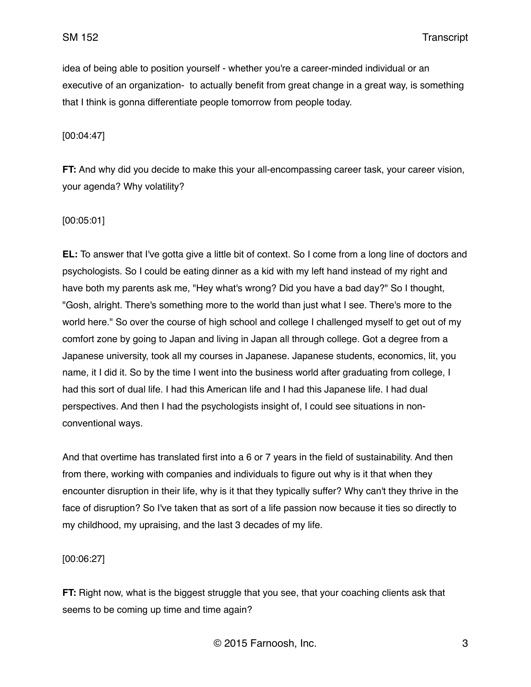idea of being able to position yourself - whether you're a career-minded individual or an executive of an organization- to actually benefit from great change in a great way, is something that I think is gonna differentiate people tomorrow from people today.

[00:04:47]

**FT:** And why did you decide to make this your all-encompassing career task, your career vision, your agenda? Why volatility?

### [00:05:01]

**EL:** To answer that I've gotta give a little bit of context. So I come from a long line of doctors and psychologists. So I could be eating dinner as a kid with my left hand instead of my right and have both my parents ask me, "Hey what's wrong? Did you have a bad day?" So I thought, "Gosh, alright. There's something more to the world than just what I see. There's more to the world here." So over the course of high school and college I challenged myself to get out of my comfort zone by going to Japan and living in Japan all through college. Got a degree from a Japanese university, took all my courses in Japanese. Japanese students, economics, lit, you name, it I did it. So by the time I went into the business world after graduating from college, I had this sort of dual life. I had this American life and I had this Japanese life. I had dual perspectives. And then I had the psychologists insight of, I could see situations in nonconventional ways.

And that overtime has translated first into a 6 or 7 years in the field of sustainability. And then from there, working with companies and individuals to figure out why is it that when they encounter disruption in their life, why is it that they typically suffer? Why can't they thrive in the face of disruption? So I've taken that as sort of a life passion now because it ties so directly to my childhood, my upraising, and the last 3 decades of my life.

[00:06:27]

**FT:** Right now, what is the biggest struggle that you see, that your coaching clients ask that seems to be coming up time and time again?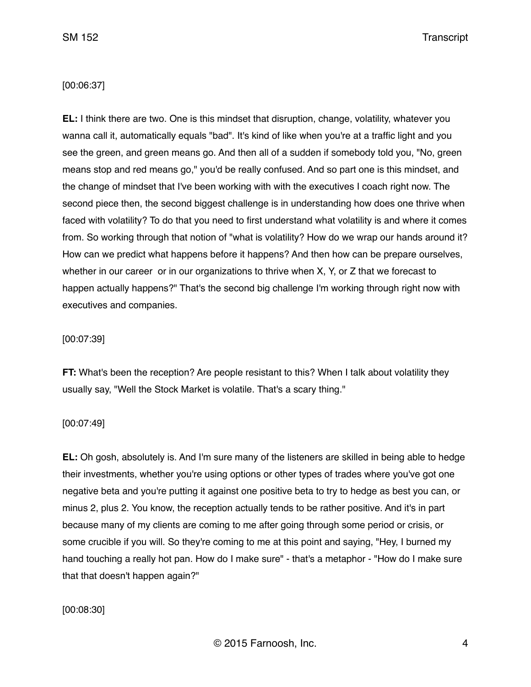### [00:06:37]

**EL:** I think there are two. One is this mindset that disruption, change, volatility, whatever you wanna call it, automatically equals "bad". It's kind of like when you're at a traffic light and you see the green, and green means go. And then all of a sudden if somebody told you, "No, green means stop and red means go," you'd be really confused. And so part one is this mindset, and the change of mindset that I've been working with with the executives I coach right now. The second piece then, the second biggest challenge is in understanding how does one thrive when faced with volatility? To do that you need to first understand what volatility is and where it comes from. So working through that notion of "what is volatility? How do we wrap our hands around it? How can we predict what happens before it happens? And then how can be prepare ourselves, whether in our career or in our organizations to thrive when X, Y, or Z that we forecast to happen actually happens?" That's the second big challenge I'm working through right now with executives and companies.

#### [00:07:39]

**FT:** What's been the reception? Are people resistant to this? When I talk about volatility they usually say, "Well the Stock Market is volatile. That's a scary thing."

#### [00:07:49]

**EL:** Oh gosh, absolutely is. And I'm sure many of the listeners are skilled in being able to hedge their investments, whether you're using options or other types of trades where you've got one negative beta and you're putting it against one positive beta to try to hedge as best you can, or minus 2, plus 2. You know, the reception actually tends to be rather positive. And it's in part because many of my clients are coming to me after going through some period or crisis, or some crucible if you will. So they're coming to me at this point and saying, "Hey, I burned my hand touching a really hot pan. How do I make sure" - that's a metaphor - "How do I make sure that that doesn't happen again?"

[00:08:30]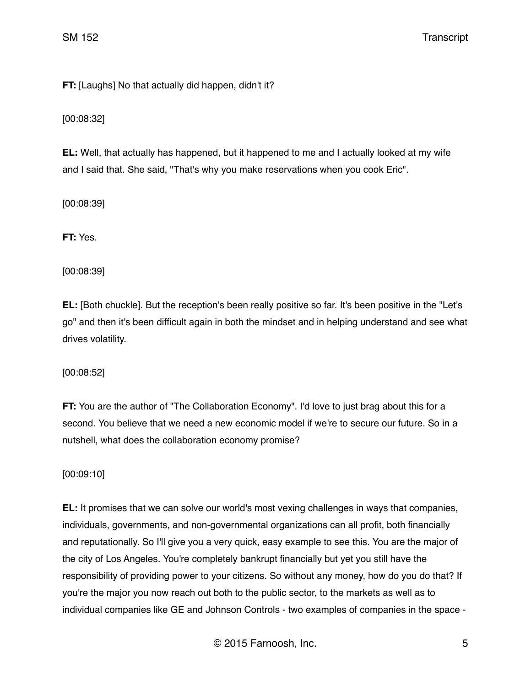**FT:** [Laughs] No that actually did happen, didn't it?

[00:08:32]

**EL:** Well, that actually has happened, but it happened to me and I actually looked at my wife and I said that. She said, "That's why you make reservations when you cook Eric".

[00:08:39]

**FT:** Yes.

[00:08:39]

**EL:** [Both chuckle]. But the reception's been really positive so far. It's been positive in the "Let's go" and then it's been difficult again in both the mindset and in helping understand and see what drives volatility.

[00:08:52]

**FT:** You are the author of "The Collaboration Economy". I'd love to just brag about this for a second. You believe that we need a new economic model if we're to secure our future. So in a nutshell, what does the collaboration economy promise?

[00:09:10]

**EL:** It promises that we can solve our world's most vexing challenges in ways that companies, individuals, governments, and non-governmental organizations can all profit, both financially and reputationally. So I'll give you a very quick, easy example to see this. You are the major of the city of Los Angeles. You're completely bankrupt financially but yet you still have the responsibility of providing power to your citizens. So without any money, how do you do that? If you're the major you now reach out both to the public sector, to the markets as well as to individual companies like GE and Johnson Controls - two examples of companies in the space -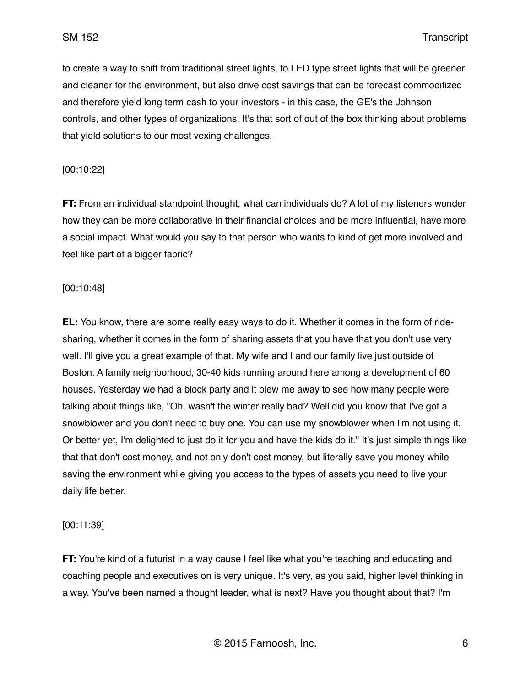to create a way to shift from traditional street lights, to LED type street lights that will be greener and cleaner for the environment, but also drive cost savings that can be forecast commoditized and therefore yield long term cash to your investors - in this case, the GE's the Johnson controls, and other types of organizations. It's that sort of out of the box thinking about problems that yield solutions to our most vexing challenges.

#### [00:10:22]

**FT:** From an individual standpoint thought, what can individuals do? A lot of my listeners wonder how they can be more collaborative in their financial choices and be more influential, have more a social impact. What would you say to that person who wants to kind of get more involved and feel like part of a bigger fabric?

### [00:10:48]

**EL:** You know, there are some really easy ways to do it. Whether it comes in the form of ridesharing, whether it comes in the form of sharing assets that you have that you don't use very well. I'll give you a great example of that. My wife and I and our family live just outside of Boston. A family neighborhood, 30-40 kids running around here among a development of 60 houses. Yesterday we had a block party and it blew me away to see how many people were talking about things like, "Oh, wasn't the winter really bad? Well did you know that I've got a snowblower and you don't need to buy one. You can use my snowblower when I'm not using it. Or better yet, I'm delighted to just do it for you and have the kids do it." It's just simple things like that that don't cost money, and not only don't cost money, but literally save you money while saving the environment while giving you access to the types of assets you need to live your daily life better.

## [00:11:39]

**FT:** You're kind of a futurist in a way cause I feel like what you're teaching and educating and coaching people and executives on is very unique. It's very, as you said, higher level thinking in a way. You've been named a thought leader, what is next? Have you thought about that? I'm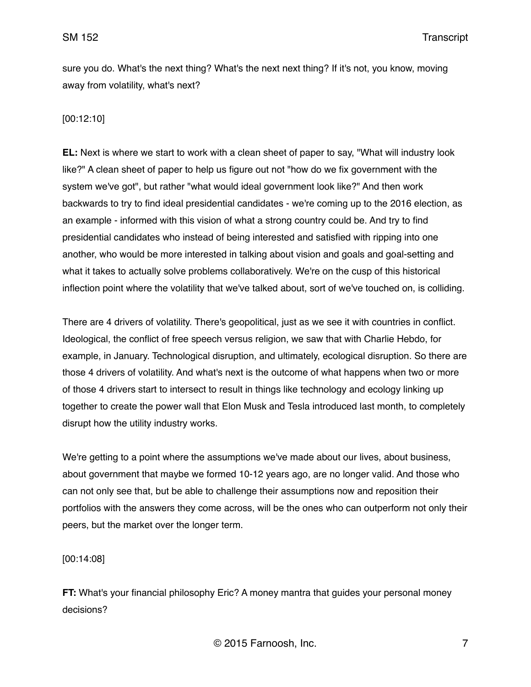sure you do. What's the next thing? What's the next next thing? If it's not, you know, moving away from volatility, what's next?

## [00:12:10]

**EL:** Next is where we start to work with a clean sheet of paper to say, "What will industry look like?" A clean sheet of paper to help us figure out not "how do we fix government with the system we've got", but rather "what would ideal government look like?" And then work backwards to try to find ideal presidential candidates - we're coming up to the 2016 election, as an example - informed with this vision of what a strong country could be. And try to find presidential candidates who instead of being interested and satisfied with ripping into one another, who would be more interested in talking about vision and goals and goal-setting and what it takes to actually solve problems collaboratively. We're on the cusp of this historical inflection point where the volatility that we've talked about, sort of we've touched on, is colliding.

There are 4 drivers of volatility. There's geopolitical, just as we see it with countries in conflict. Ideological, the conflict of free speech versus religion, we saw that with Charlie Hebdo, for example, in January. Technological disruption, and ultimately, ecological disruption. So there are those 4 drivers of volatility. And what's next is the outcome of what happens when two or more of those 4 drivers start to intersect to result in things like technology and ecology linking up together to create the power wall that Elon Musk and Tesla introduced last month, to completely disrupt how the utility industry works.

We're getting to a point where the assumptions we've made about our lives, about business, about government that maybe we formed 10-12 years ago, are no longer valid. And those who can not only see that, but be able to challenge their assumptions now and reposition their portfolios with the answers they come across, will be the ones who can outperform not only their peers, but the market over the longer term.

[00:14:08]

**FT:** What's your financial philosophy Eric? A money mantra that guides your personal money decisions?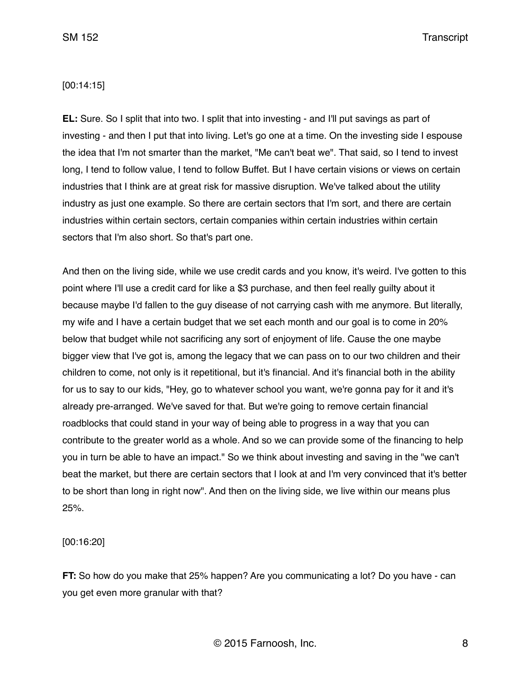### [00:14:15]

**EL:** Sure. So I split that into two. I split that into investing - and I'll put savings as part of investing - and then I put that into living. Let's go one at a time. On the investing side I espouse the idea that I'm not smarter than the market, "Me can't beat we". That said, so I tend to invest long, I tend to follow value, I tend to follow Buffet. But I have certain visions or views on certain industries that I think are at great risk for massive disruption. We've talked about the utility industry as just one example. So there are certain sectors that I'm sort, and there are certain industries within certain sectors, certain companies within certain industries within certain sectors that I'm also short. So that's part one.

And then on the living side, while we use credit cards and you know, it's weird. I've gotten to this point where I'll use a credit card for like a \$3 purchase, and then feel really guilty about it because maybe I'd fallen to the guy disease of not carrying cash with me anymore. But literally, my wife and I have a certain budget that we set each month and our goal is to come in 20% below that budget while not sacrificing any sort of enjoyment of life. Cause the one maybe bigger view that I've got is, among the legacy that we can pass on to our two children and their children to come, not only is it repetitional, but it's financial. And it's financial both in the ability for us to say to our kids, "Hey, go to whatever school you want, we're gonna pay for it and it's already pre-arranged. We've saved for that. But we're going to remove certain financial roadblocks that could stand in your way of being able to progress in a way that you can contribute to the greater world as a whole. And so we can provide some of the financing to help you in turn be able to have an impact." So we think about investing and saving in the "we can't beat the market, but there are certain sectors that I look at and I'm very convinced that it's better to be short than long in right now". And then on the living side, we live within our means plus 25%.

### [00:16:20]

**FT:** So how do you make that 25% happen? Are you communicating a lot? Do you have - can you get even more granular with that?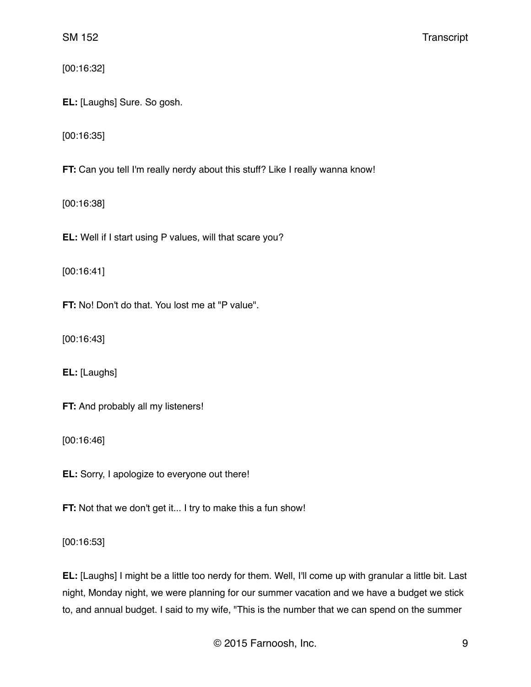[00:16:32]

**EL:** [Laughs] Sure. So gosh.

[00:16:35]

**FT:** Can you tell I'm really nerdy about this stuff? Like I really wanna know!

[00:16:38]

**EL:** Well if I start using P values, will that scare you?

[00:16:41]

**FT:** No! Don't do that. You lost me at "P value".

[00:16:43]

**EL:** [Laughs]

**FT:** And probably all my listeners!

[00:16:46]

**EL:** Sorry, I apologize to everyone out there!

**FT:** Not that we don't get it... I try to make this a fun show!

[00:16:53]

**EL:** [Laughs] I might be a little too nerdy for them. Well, I'll come up with granular a little bit. Last night, Monday night, we were planning for our summer vacation and we have a budget we stick to, and annual budget. I said to my wife, "This is the number that we can spend on the summer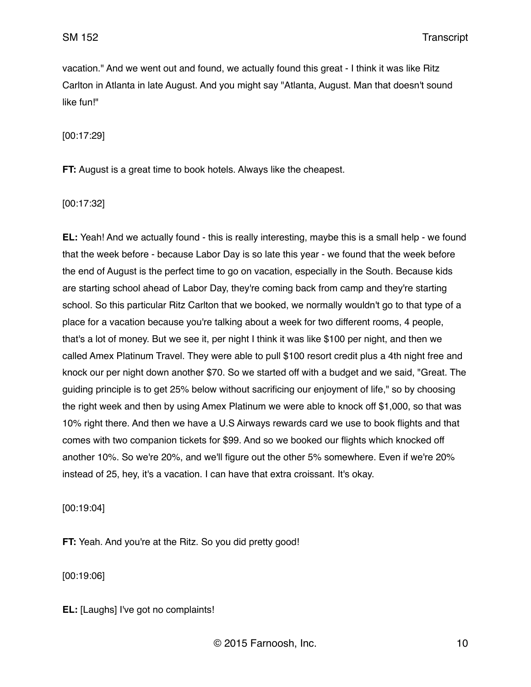vacation." And we went out and found, we actually found this great - I think it was like Ritz Carlton in Atlanta in late August. And you might say "Atlanta, August. Man that doesn't sound like fun!"

[00:17:29]

**FT:** August is a great time to book hotels. Always like the cheapest.

[00:17:32]

**EL:** Yeah! And we actually found - this is really interesting, maybe this is a small help - we found that the week before - because Labor Day is so late this year - we found that the week before the end of August is the perfect time to go on vacation, especially in the South. Because kids are starting school ahead of Labor Day, they're coming back from camp and they're starting school. So this particular Ritz Carlton that we booked, we normally wouldn't go to that type of a place for a vacation because you're talking about a week for two different rooms, 4 people, that's a lot of money. But we see it, per night I think it was like \$100 per night, and then we called Amex Platinum Travel. They were able to pull \$100 resort credit plus a 4th night free and knock our per night down another \$70. So we started off with a budget and we said, "Great. The guiding principle is to get 25% below without sacrificing our enjoyment of life," so by choosing the right week and then by using Amex Platinum we were able to knock off \$1,000, so that was 10% right there. And then we have a U.S Airways rewards card we use to book flights and that comes with two companion tickets for \$99. And so we booked our flights which knocked off another 10%. So we're 20%, and we'll figure out the other 5% somewhere. Even if we're 20% instead of 25, hey, it's a vacation. I can have that extra croissant. It's okay.

[00:19:04]

**FT:** Yeah. And you're at the Ritz. So you did pretty good!

[00:19:06]

**EL:** [Laughs] I've got no complaints!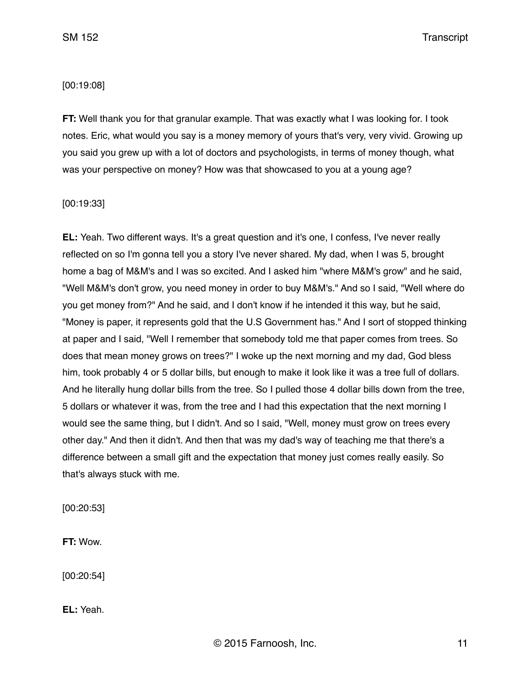### [00:19:08]

**FT:** Well thank you for that granular example. That was exactly what I was looking for. I took notes. Eric, what would you say is a money memory of yours that's very, very vivid. Growing up you said you grew up with a lot of doctors and psychologists, in terms of money though, what was your perspective on money? How was that showcased to you at a young age?

[00:19:33]

**EL:** Yeah. Two different ways. It's a great question and it's one, I confess, I've never really reflected on so I'm gonna tell you a story I've never shared. My dad, when I was 5, brought home a bag of M&M's and I was so excited. And I asked him "where M&M's grow" and he said, "Well M&M's don't grow, you need money in order to buy M&M's." And so I said, "Well where do you get money from?" And he said, and I don't know if he intended it this way, but he said, "Money is paper, it represents gold that the U.S Government has." And I sort of stopped thinking at paper and I said, "Well I remember that somebody told me that paper comes from trees. So does that mean money grows on trees?" I woke up the next morning and my dad, God bless him, took probably 4 or 5 dollar bills, but enough to make it look like it was a tree full of dollars. And he literally hung dollar bills from the tree. So I pulled those 4 dollar bills down from the tree, 5 dollars or whatever it was, from the tree and I had this expectation that the next morning I would see the same thing, but I didn't. And so I said, "Well, money must grow on trees every other day." And then it didn't. And then that was my dad's way of teaching me that there's a difference between a small gift and the expectation that money just comes really easily. So that's always stuck with me.

[00:20:53]

**FT:** Wow.

[00:20:54]

**EL:** Yeah.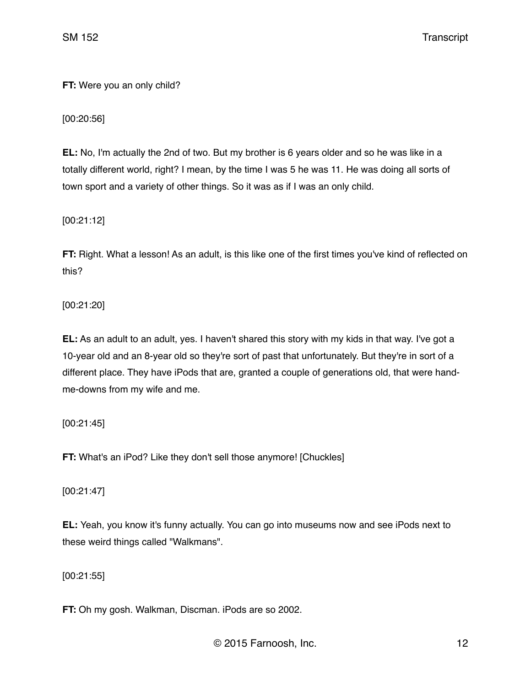**FT:** Were you an only child?

[00:20:56]

**EL:** No, I'm actually the 2nd of two. But my brother is 6 years older and so he was like in a totally different world, right? I mean, by the time I was 5 he was 11. He was doing all sorts of town sport and a variety of other things. So it was as if I was an only child.

[00:21:12]

**FT:** Right. What a lesson! As an adult, is this like one of the first times you've kind of reflected on this?

[00:21:20]

**EL:** As an adult to an adult, yes. I haven't shared this story with my kids in that way. I've got a 10-year old and an 8-year old so they're sort of past that unfortunately. But they're in sort of a different place. They have iPods that are, granted a couple of generations old, that were handme-downs from my wife and me.

[00:21:45]

**FT:** What's an iPod? Like they don't sell those anymore! [Chuckles]

[00:21:47]

**EL:** Yeah, you know it's funny actually. You can go into museums now and see iPods next to these weird things called "Walkmans".

[00:21:55]

**FT:** Oh my gosh. Walkman, Discman. iPods are so 2002.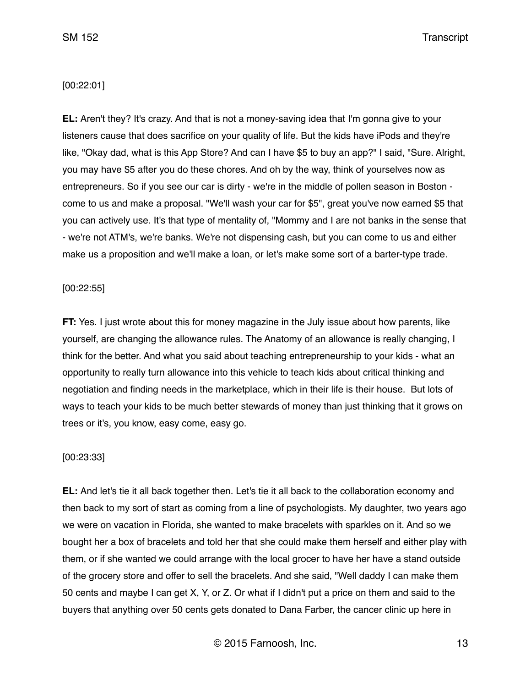## [00:22:01]

**EL:** Aren't they? It's crazy. And that is not a money-saving idea that I'm gonna give to your listeners cause that does sacrifice on your quality of life. But the kids have iPods and they're like, "Okay dad, what is this App Store? And can I have \$5 to buy an app?" I said, "Sure. Alright, you may have \$5 after you do these chores. And oh by the way, think of yourselves now as entrepreneurs. So if you see our car is dirty - we're in the middle of pollen season in Boston come to us and make a proposal. "We'll wash your car for \$5", great you've now earned \$5 that you can actively use. It's that type of mentality of, "Mommy and I are not banks in the sense that - we're not ATM's, we're banks. We're not dispensing cash, but you can come to us and either make us a proposition and we'll make a loan, or let's make some sort of a barter-type trade.

#### [00:22:55]

**FT:** Yes. I just wrote about this for money magazine in the July issue about how parents, like yourself, are changing the allowance rules. The Anatomy of an allowance is really changing, I think for the better. And what you said about teaching entrepreneurship to your kids - what an opportunity to really turn allowance into this vehicle to teach kids about critical thinking and negotiation and finding needs in the marketplace, which in their life is their house. But lots of ways to teach your kids to be much better stewards of money than just thinking that it grows on trees or it's, you know, easy come, easy go.

#### [00:23:33]

**EL:** And let's tie it all back together then. Let's tie it all back to the collaboration economy and then back to my sort of start as coming from a line of psychologists. My daughter, two years ago we were on vacation in Florida, she wanted to make bracelets with sparkles on it. And so we bought her a box of bracelets and told her that she could make them herself and either play with them, or if she wanted we could arrange with the local grocer to have her have a stand outside of the grocery store and offer to sell the bracelets. And she said, "Well daddy I can make them 50 cents and maybe I can get X, Y, or Z. Or what if I didn't put a price on them and said to the buyers that anything over 50 cents gets donated to Dana Farber, the cancer clinic up here in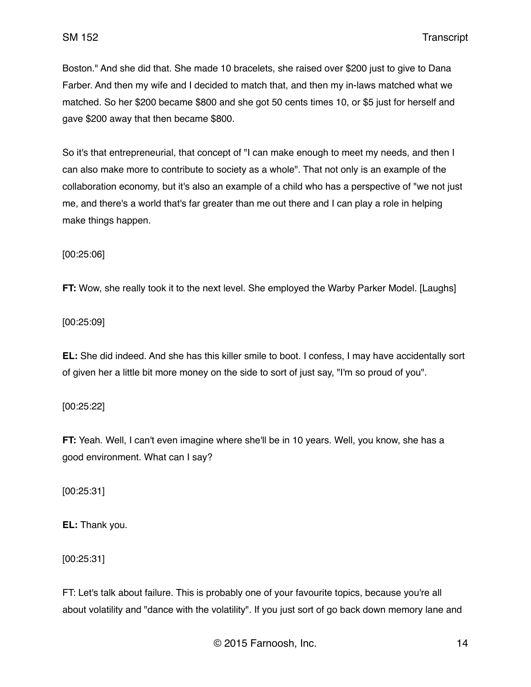Boston." And she did that. She made 10 bracelets, she raised over \$200 just to give to Dana Farber. And then my wife and I decided to match that, and then my in-laws matched what we matched. So her \$200 became \$800 and she got 50 cents times 10, or \$5 just for herself and gave \$200 away that then became \$800.

So it's that entrepreneurial, that concept of "I can make enough to meet my needs, and then I can also make more to contribute to society as a whole". That not only is an example of the collaboration economy, but it's also an example of a child who has a perspective of "we not just me, and there's a world that's far greater than me out there and I can play a role in helping make things happen.

[00:25:06]

**FT:** Wow, she really took it to the next level. She employed the Warby Parker Model. [Laughs]

[00:25:09]

**EL:** She did indeed. And she has this killer smile to boot. I confess, I may have accidentally sort of given her a little bit more money on the side to sort of just say, "I'm so proud of you".

[00:25:22]

**FT:** Yeah. Well, I can't even imagine where she'll be in 10 years. Well, you know, she has a good environment. What can I say?

[00:25:31]

**EL:** Thank you.

[00:25:31]

FT: Let's talk about failure. This is probably one of your favourite topics, because you're all about volatility and "dance with the volatility". If you just sort of go back down memory lane and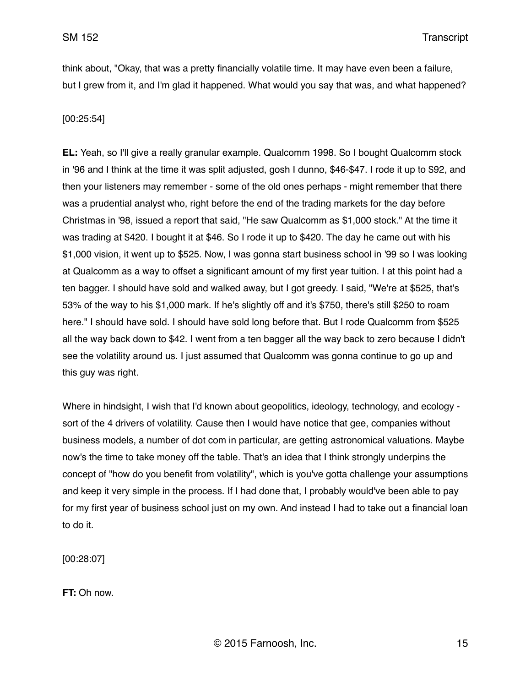think about, "Okay, that was a pretty financially volatile time. It may have even been a failure, but I grew from it, and I'm glad it happened. What would you say that was, and what happened?

## [00:25:54]

**EL:** Yeah, so I'll give a really granular example. Qualcomm 1998. So I bought Qualcomm stock in '96 and I think at the time it was split adjusted, gosh I dunno, \$46-\$47. I rode it up to \$92, and then your listeners may remember - some of the old ones perhaps - might remember that there was a prudential analyst who, right before the end of the trading markets for the day before Christmas in '98, issued a report that said, "He saw Qualcomm as \$1,000 stock." At the time it was trading at \$420. I bought it at \$46. So I rode it up to \$420. The day he came out with his \$1,000 vision, it went up to \$525. Now, I was gonna start business school in '99 so I was looking at Qualcomm as a way to offset a significant amount of my first year tuition. I at this point had a ten bagger. I should have sold and walked away, but I got greedy. I said, "We're at \$525, that's 53% of the way to his \$1,000 mark. If he's slightly off and it's \$750, there's still \$250 to roam here." I should have sold. I should have sold long before that. But I rode Qualcomm from \$525 all the way back down to \$42. I went from a ten bagger all the way back to zero because I didn't see the volatility around us. I just assumed that Qualcomm was gonna continue to go up and this guy was right.

Where in hindsight, I wish that I'd known about geopolitics, ideology, technology, and ecology sort of the 4 drivers of volatility. Cause then I would have notice that gee, companies without business models, a number of dot com in particular, are getting astronomical valuations. Maybe now's the time to take money off the table. That's an idea that I think strongly underpins the concept of "how do you benefit from volatility", which is you've gotta challenge your assumptions and keep it very simple in the process. If I had done that, I probably would've been able to pay for my first year of business school just on my own. And instead I had to take out a financial loan to do it.

[00:28:07]

**FT:** Oh now.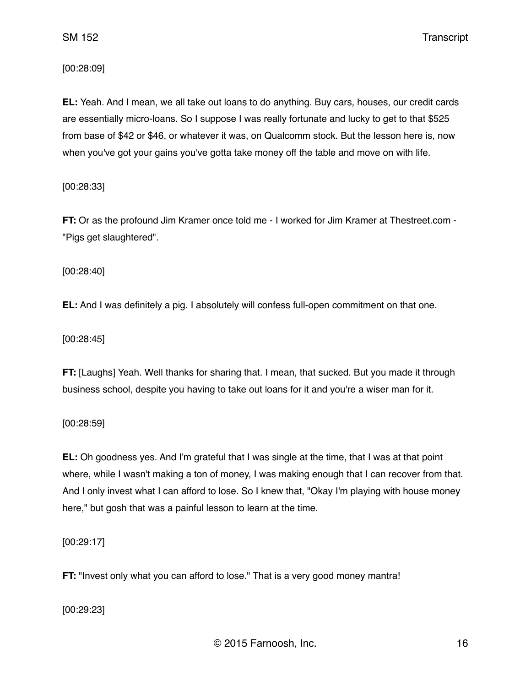[00:28:09]

**EL:** Yeah. And I mean, we all take out loans to do anything. Buy cars, houses, our credit cards are essentially micro-loans. So I suppose I was really fortunate and lucky to get to that \$525 from base of \$42 or \$46, or whatever it was, on Qualcomm stock. But the lesson here is, now when you've got your gains you've gotta take money off the table and move on with life.

[00:28:33]

**FT:** Or as the profound Jim Kramer once told me - I worked for Jim Kramer at Thestreet.com - "Pigs get slaughtered".

[00:28:40]

**EL:** And I was definitely a pig. I absolutely will confess full-open commitment on that one.

[00:28:45]

**FT:** [Laughs] Yeah. Well thanks for sharing that. I mean, that sucked. But you made it through business school, despite you having to take out loans for it and you're a wiser man for it.

[00:28:59]

**EL:** Oh goodness yes. And I'm grateful that I was single at the time, that I was at that point where, while I wasn't making a ton of money, I was making enough that I can recover from that. And I only invest what I can afford to lose. So I knew that, "Okay I'm playing with house money here," but gosh that was a painful lesson to learn at the time.

[00:29:17]

**FT:** "Invest only what you can afford to lose." That is a very good money mantra!

[00:29:23]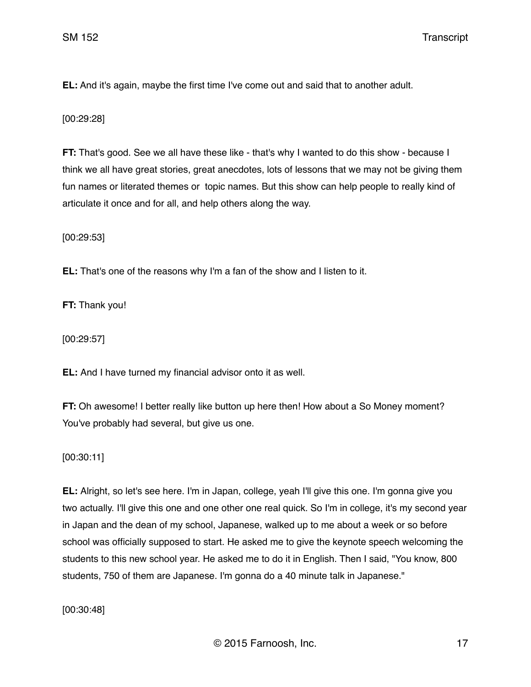**EL:** And it's again, maybe the first time I've come out and said that to another adult.

[00:29:28]

**FT:** That's good. See we all have these like - that's why I wanted to do this show - because I think we all have great stories, great anecdotes, lots of lessons that we may not be giving them fun names or literated themes or topic names. But this show can help people to really kind of articulate it once and for all, and help others along the way.

[00:29:53]

**EL:** That's one of the reasons why I'm a fan of the show and I listen to it.

**FT:** Thank you!

[00:29:57]

**EL:** And I have turned my financial advisor onto it as well.

**FT:** Oh awesome! I better really like button up here then! How about a So Money moment? You've probably had several, but give us one.

[00:30:11]

**EL:** Alright, so let's see here. I'm in Japan, college, yeah I'll give this one. I'm gonna give you two actually. I'll give this one and one other one real quick. So I'm in college, it's my second year in Japan and the dean of my school, Japanese, walked up to me about a week or so before school was officially supposed to start. He asked me to give the keynote speech welcoming the students to this new school year. He asked me to do it in English. Then I said, "You know, 800 students, 750 of them are Japanese. I'm gonna do a 40 minute talk in Japanese."

[00:30:48]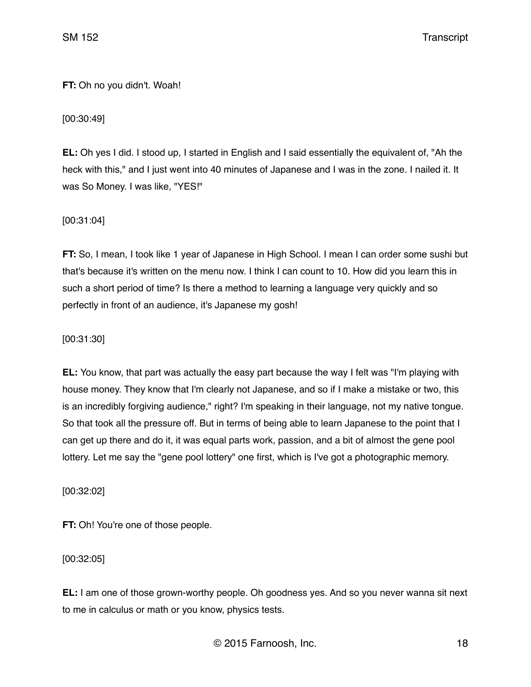# **FT:** Oh no you didn't. Woah!

[00:30:49]

**EL:** Oh yes I did. I stood up, I started in English and I said essentially the equivalent of, "Ah the heck with this," and I just went into 40 minutes of Japanese and I was in the zone. I nailed it. It was So Money. I was like, "YES!"

[00:31:04]

**FT:** So, I mean, I took like 1 year of Japanese in High School. I mean I can order some sushi but that's because it's written on the menu now. I think I can count to 10. How did you learn this in such a short period of time? Is there a method to learning a language very quickly and so perfectly in front of an audience, it's Japanese my gosh!

[00:31:30]

**EL:** You know, that part was actually the easy part because the way I felt was "I'm playing with house money. They know that I'm clearly not Japanese, and so if I make a mistake or two, this is an incredibly forgiving audience," right? I'm speaking in their language, not my native tongue. So that took all the pressure off. But in terms of being able to learn Japanese to the point that I can get up there and do it, it was equal parts work, passion, and a bit of almost the gene pool lottery. Let me say the "gene pool lottery" one first, which is I've got a photographic memory.

[00:32:02]

**FT:** Oh! You're one of those people.

[00:32:05]

**EL:** I am one of those grown-worthy people. Oh goodness yes. And so you never wanna sit next to me in calculus or math or you know, physics tests.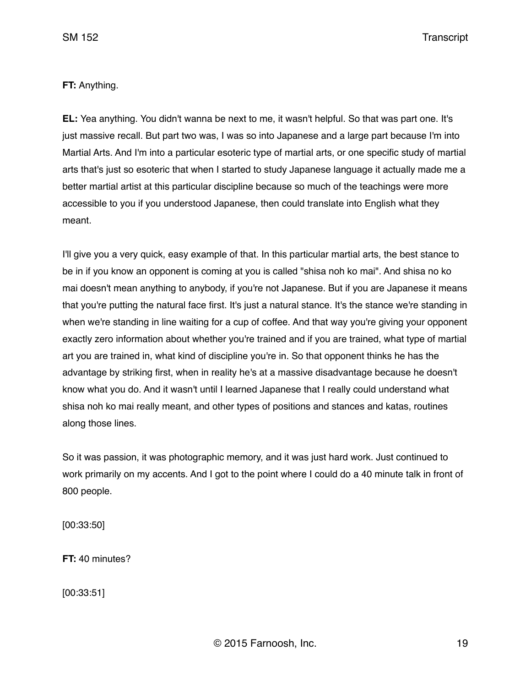## **FT:** Anything.

**EL:** Yea anything. You didn't wanna be next to me, it wasn't helpful. So that was part one. It's just massive recall. But part two was, I was so into Japanese and a large part because I'm into Martial Arts. And I'm into a particular esoteric type of martial arts, or one specific study of martial arts that's just so esoteric that when I started to study Japanese language it actually made me a better martial artist at this particular discipline because so much of the teachings were more accessible to you if you understood Japanese, then could translate into English what they meant.

I'll give you a very quick, easy example of that. In this particular martial arts, the best stance to be in if you know an opponent is coming at you is called "shisa noh ko mai". And shisa no ko mai doesn't mean anything to anybody, if you're not Japanese. But if you are Japanese it means that you're putting the natural face first. It's just a natural stance. It's the stance we're standing in when we're standing in line waiting for a cup of coffee. And that way you're giving your opponent exactly zero information about whether you're trained and if you are trained, what type of martial art you are trained in, what kind of discipline you're in. So that opponent thinks he has the advantage by striking first, when in reality he's at a massive disadvantage because he doesn't know what you do. And it wasn't until I learned Japanese that I really could understand what shisa noh ko mai really meant, and other types of positions and stances and katas, routines along those lines.

So it was passion, it was photographic memory, and it was just hard work. Just continued to work primarily on my accents. And I got to the point where I could do a 40 minute talk in front of 800 people.

[00:33:50]

**FT:** 40 minutes?

[00:33:51]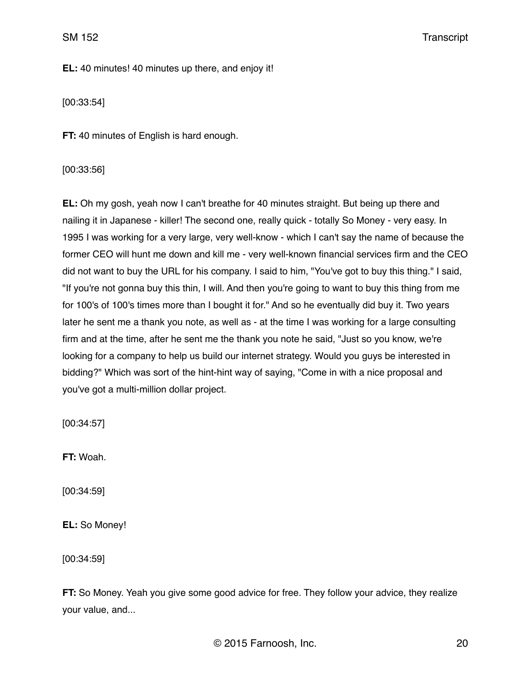**EL:** 40 minutes! 40 minutes up there, and enjoy it!

[00:33:54]

**FT:** 40 minutes of English is hard enough.

## [00:33:56]

**EL:** Oh my gosh, yeah now I can't breathe for 40 minutes straight. But being up there and nailing it in Japanese - killer! The second one, really quick - totally So Money - very easy. In 1995 I was working for a very large, very well-know - which I can't say the name of because the former CEO will hunt me down and kill me - very well-known financial services firm and the CEO did not want to buy the URL for his company. I said to him, "You've got to buy this thing." I said, "If you're not gonna buy this thin, I will. And then you're going to want to buy this thing from me for 100's of 100's times more than I bought it for." And so he eventually did buy it. Two years later he sent me a thank you note, as well as - at the time I was working for a large consulting firm and at the time, after he sent me the thank you note he said, "Just so you know, we're looking for a company to help us build our internet strategy. Would you guys be interested in bidding?" Which was sort of the hint-hint way of saying, "Come in with a nice proposal and you've got a multi-million dollar project.

[00:34:57]

**FT:** Woah.

[00:34:59]

**EL:** So Money!

[00:34:59]

**FT:** So Money. Yeah you give some good advice for free. They follow your advice, they realize your value, and...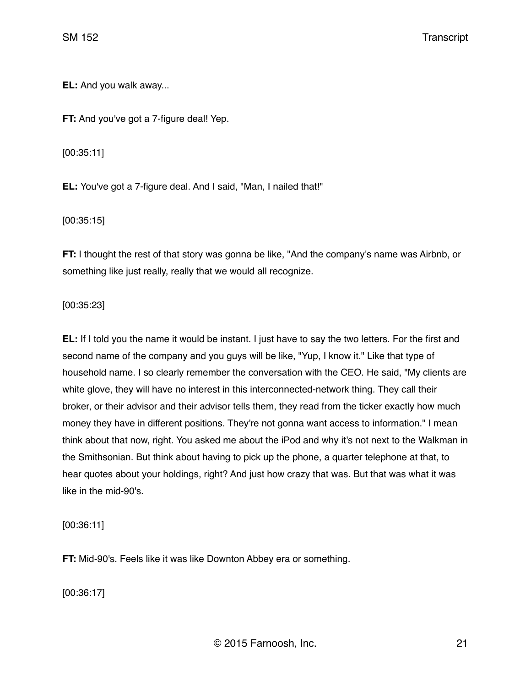**EL:** And you walk away...

**FT:** And you've got a 7-figure deal! Yep.

[00:35:11]

**EL:** You've got a 7-figure deal. And I said, "Man, I nailed that!"

[00:35:15]

**FT:** I thought the rest of that story was gonna be like, "And the company's name was Airbnb, or something like just really, really that we would all recognize.

[00:35:23]

**EL:** If I told you the name it would be instant. I just have to say the two letters. For the first and second name of the company and you guys will be like, "Yup, I know it." Like that type of household name. I so clearly remember the conversation with the CEO. He said, "My clients are white glove, they will have no interest in this interconnected-network thing. They call their broker, or their advisor and their advisor tells them, they read from the ticker exactly how much money they have in different positions. They're not gonna want access to information." I mean think about that now, right. You asked me about the iPod and why it's not next to the Walkman in the Smithsonian. But think about having to pick up the phone, a quarter telephone at that, to hear quotes about your holdings, right? And just how crazy that was. But that was what it was like in the mid-90's.

[00:36:11]

**FT:** Mid-90's. Feels like it was like Downton Abbey era or something.

[00:36:17]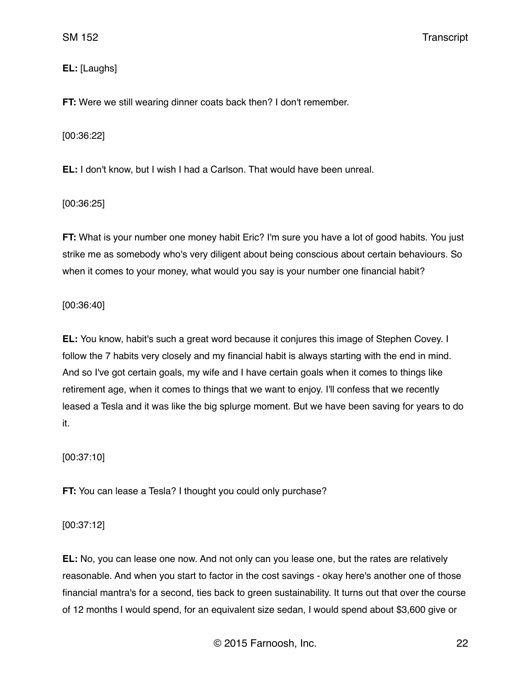# **EL:** [Laughs]

**FT:** Were we still wearing dinner coats back then? I don't remember.

[00:36:22]

**EL:** I don't know, but I wish I had a Carlson. That would have been unreal.

[00:36:25]

**FT:** What is your number one money habit Eric? I'm sure you have a lot of good habits. You just strike me as somebody who's very diligent about being conscious about certain behaviours. So when it comes to your money, what would you say is your number one financial habit?

[00:36:40]

**EL:** You know, habit's such a great word because it conjures this image of Stephen Covey. I follow the 7 habits very closely and my financial habit is always starting with the end in mind. And so I've got certain goals, my wife and I have certain goals when it comes to things like retirement age, when it comes to things that we want to enjoy. I'll confess that we recently leased a Tesla and it was like the big splurge moment. But we have been saving for years to do it.

[00:37:10]

**FT:** You can lease a Tesla? I thought you could only purchase?

[00:37:12]

**EL:** No, you can lease one now. And not only can you lease one, but the rates are relatively reasonable. And when you start to factor in the cost savings - okay here's another one of those financial mantra's for a second, ties back to green sustainability. It turns out that over the course of 12 months I would spend, for an equivalent size sedan, I would spend about \$3,600 give or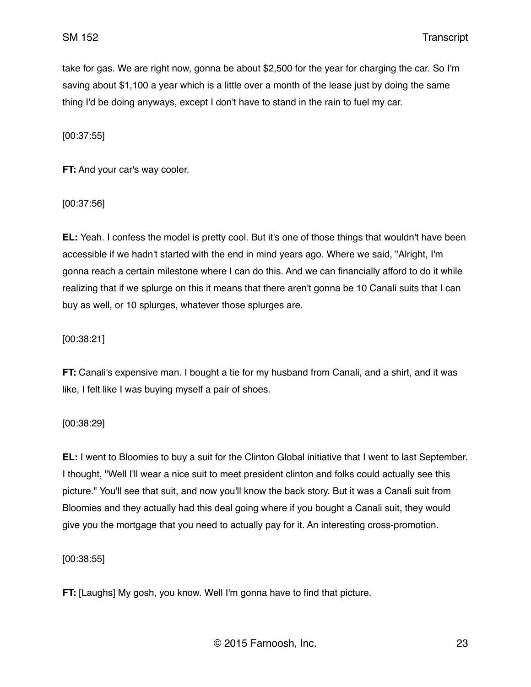take for gas. We are right now, gonna be about \$2,500 for the year for charging the car. So I'm saving about \$1,100 a year which is a little over a month of the lease just by doing the same thing I'd be doing anyways, except I don't have to stand in the rain to fuel my car.

[00:37:55]

**FT:** And your car's way cooler.

[00:37:56]

**EL:** Yeah. I confess the model is pretty cool. But it's one of those things that wouldn't have been accessible if we hadn't started with the end in mind years ago. Where we said, "Alright, I'm gonna reach a certain milestone where I can do this. And we can financially afford to do it while realizing that if we splurge on this it means that there aren't gonna be 10 Canali suits that I can buy as well, or 10 splurges, whatever those splurges are.

[00:38:21]

**FT:** Canali's expensive man. I bought a tie for my husband from Canali, and a shirt, and it was like, I felt like I was buying myself a pair of shoes.

[00:38:29]

**EL:** I went to Bloomies to buy a suit for the Clinton Global initiative that I went to last September. I thought, "Well I'll wear a nice suit to meet president clinton and folks could actually see this picture." You'll see that suit, and now you'll know the back story. But it was a Canali suit from Bloomies and they actually had this deal going where if you bought a Canali suit, they would give you the mortgage that you need to actually pay for it. An interesting cross-promotion.

[00:38:55]

**FT:** [Laughs] My gosh, you know. Well I'm gonna have to find that picture.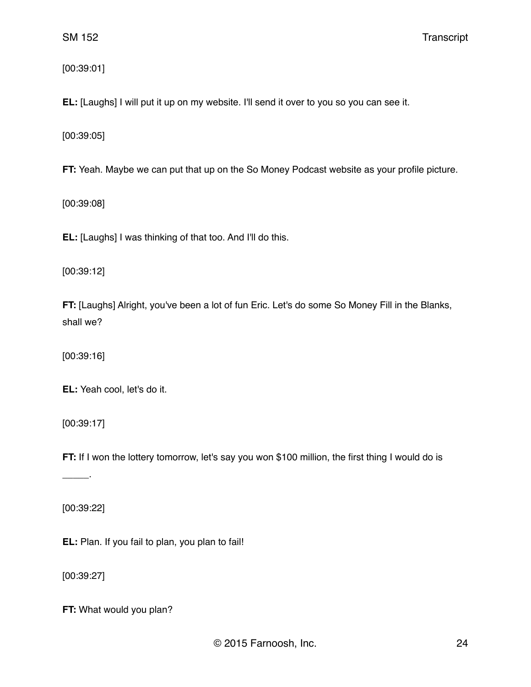[00:39:01]

**EL:** [Laughs] I will put it up on my website. I'll send it over to you so you can see it.

[00:39:05]

**FT:** Yeah. Maybe we can put that up on the So Money Podcast website as your profile picture.

[00:39:08]

**EL:** [Laughs] I was thinking of that too. And I'll do this.

[00:39:12]

**FT:** [Laughs] Alright, you've been a lot of fun Eric. Let's do some So Money Fill in the Blanks, shall we?

[00:39:16]

**EL:** Yeah cool, let's do it.

[00:39:17]

**FT:** If I won the lottery tomorrow, let's say you won \$100 million, the first thing I would do is

[00:39:22]

\_\_\_\_\_.

**EL:** Plan. If you fail to plan, you plan to fail!

[00:39:27]

**FT:** What would you plan?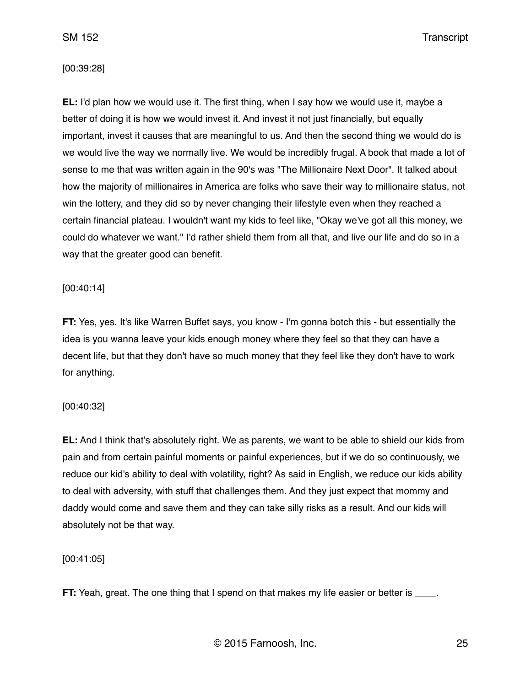#### [00:39:28]

**EL:** I'd plan how we would use it. The first thing, when I say how we would use it, maybe a better of doing it is how we would invest it. And invest it not just financially, but equally important, invest it causes that are meaningful to us. And then the second thing we would do is we would live the way we normally live. We would be incredibly frugal. A book that made a lot of sense to me that was written again in the 90's was "The Millionaire Next Door". It talked about how the majority of millionaires in America are folks who save their way to millionaire status, not win the lottery, and they did so by never changing their lifestyle even when they reached a certain financial plateau. I wouldn't want my kids to feel like, "Okay we've got all this money, we could do whatever we want." I'd rather shield them from all that, and live our life and do so in a way that the greater good can benefit.

## [00:40:14]

**FT:** Yes, yes. It's like Warren Buffet says, you know - I'm gonna botch this - but essentially the idea is you wanna leave your kids enough money where they feel so that they can have a decent life, but that they don't have so much money that they feel like they don't have to work for anything.

## [00:40:32]

**EL:** And I think that's absolutely right. We as parents, we want to be able to shield our kids from pain and from certain painful moments or painful experiences, but if we do so continuously, we reduce our kid's ability to deal with volatility, right? As said in English, we reduce our kids ability to deal with adversity, with stuff that challenges them. And they just expect that mommy and daddy would come and save them and they can take silly risks as a result. And our kids will absolutely not be that way.

#### [00:41:05]

**FT:** Yeah, great. The one thing that I spend on that makes my life easier or better is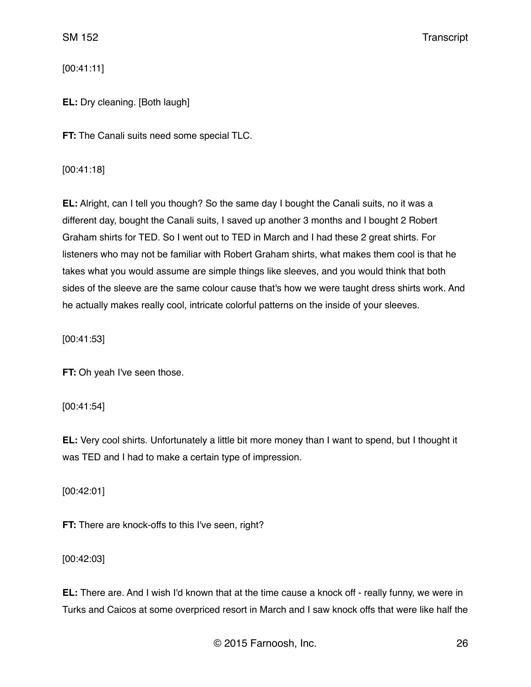[00:41:11]

**EL:** Dry cleaning. [Both laugh]

**FT:** The Canali suits need some special TLC.

[00:41:18]

**EL:** Alright, can I tell you though? So the same day I bought the Canali suits, no it was a different day, bought the Canali suits, I saved up another 3 months and I bought 2 Robert Graham shirts for TED. So I went out to TED in March and I had these 2 great shirts. For listeners who may not be familiar with Robert Graham shirts, what makes them cool is that he takes what you would assume are simple things like sleeves, and you would think that both sides of the sleeve are the same colour cause that's how we were taught dress shirts work. And he actually makes really cool, intricate colorful patterns on the inside of your sleeves.

[00:41:53]

**FT:** Oh yeah I've seen those.

[00:41:54]

**EL:** Very cool shirts. Unfortunately a little bit more money than I want to spend, but I thought it was TED and I had to make a certain type of impression.

[00:42:01]

**FT:** There are knock-offs to this I've seen, right?

[00:42:03]

**EL:** There are. And I wish I'd known that at the time cause a knock off - really funny, we were in Turks and Caicos at some overpriced resort in March and I saw knock offs that were like half the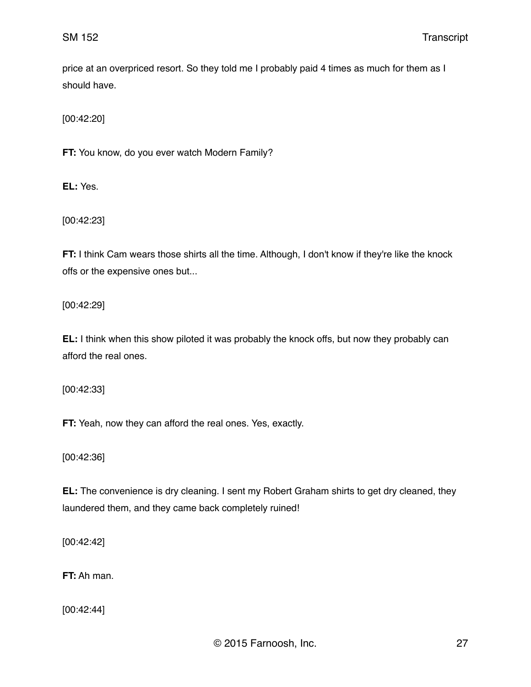price at an overpriced resort. So they told me I probably paid 4 times as much for them as I should have.

[00:42:20]

**FT:** You know, do you ever watch Modern Family?

**EL:** Yes.

[00:42:23]

**FT:** I think Cam wears those shirts all the time. Although, I don't know if they're like the knock offs or the expensive ones but...

[00:42:29]

**EL:** I think when this show piloted it was probably the knock offs, but now they probably can afford the real ones.

[00:42:33]

**FT:** Yeah, now they can afford the real ones. Yes, exactly.

[00:42:36]

**EL:** The convenience is dry cleaning. I sent my Robert Graham shirts to get dry cleaned, they laundered them, and they came back completely ruined!

[00:42:42]

**FT:** Ah man.

[00:42:44]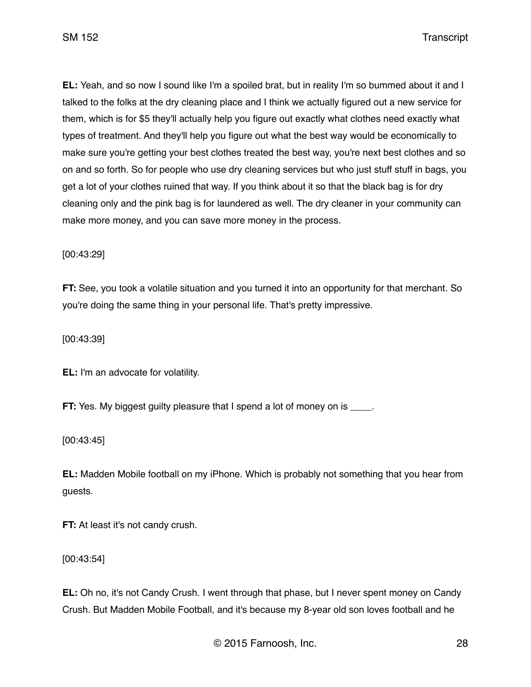**EL:** Yeah, and so now I sound like I'm a spoiled brat, but in reality I'm so bummed about it and I talked to the folks at the dry cleaning place and I think we actually figured out a new service for them, which is for \$5 they'll actually help you figure out exactly what clothes need exactly what types of treatment. And they'll help you figure out what the best way would be economically to make sure you're getting your best clothes treated the best way, you're next best clothes and so on and so forth. So for people who use dry cleaning services but who just stuff stuff in bags, you get a lot of your clothes ruined that way. If you think about it so that the black bag is for dry cleaning only and the pink bag is for laundered as well. The dry cleaner in your community can make more money, and you can save more money in the process.

[00:43:29]

**FT:** See, you took a volatile situation and you turned it into an opportunity for that merchant. So you're doing the same thing in your personal life. That's pretty impressive.

[00:43:39]

**EL:** I'm an advocate for volatility.

**FT:** Yes. My biggest guilty pleasure that I spend a lot of money on is  $\blacksquare$ .

[00:43:45]

**EL:** Madden Mobile football on my iPhone. Which is probably not something that you hear from guests.

**FT:** At least it's not candy crush.

[00:43:54]

**EL:** Oh no, it's not Candy Crush. I went through that phase, but I never spent money on Candy Crush. But Madden Mobile Football, and it's because my 8-year old son loves football and he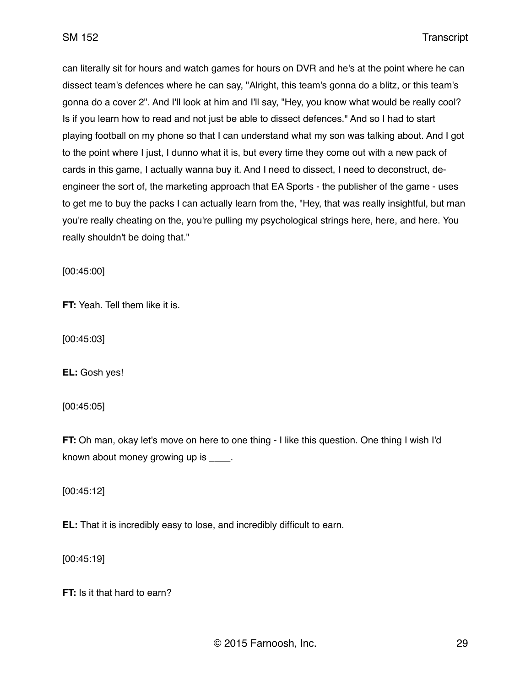can literally sit for hours and watch games for hours on DVR and he's at the point where he can dissect team's defences where he can say, "Alright, this team's gonna do a blitz, or this team's gonna do a cover 2". And I'll look at him and I'll say, "Hey, you know what would be really cool? Is if you learn how to read and not just be able to dissect defences." And so I had to start playing football on my phone so that I can understand what my son was talking about. And I got to the point where I just, I dunno what it is, but every time they come out with a new pack of cards in this game, I actually wanna buy it. And I need to dissect, I need to deconstruct, deengineer the sort of, the marketing approach that EA Sports - the publisher of the game - uses to get me to buy the packs I can actually learn from the, "Hey, that was really insightful, but man you're really cheating on the, you're pulling my psychological strings here, here, and here. You really shouldn't be doing that."

[00:45:00]

**FT:** Yeah. Tell them like it is.

[00:45:03]

**EL:** Gosh yes!

[00:45:05]

**FT:** Oh man, okay let's move on here to one thing - I like this question. One thing I wish I'd known about money growing up is \_\_\_\_.

[00:45:12]

**EL:** That it is incredibly easy to lose, and incredibly difficult to earn.

[00:45:19]

**FT:** Is it that hard to earn?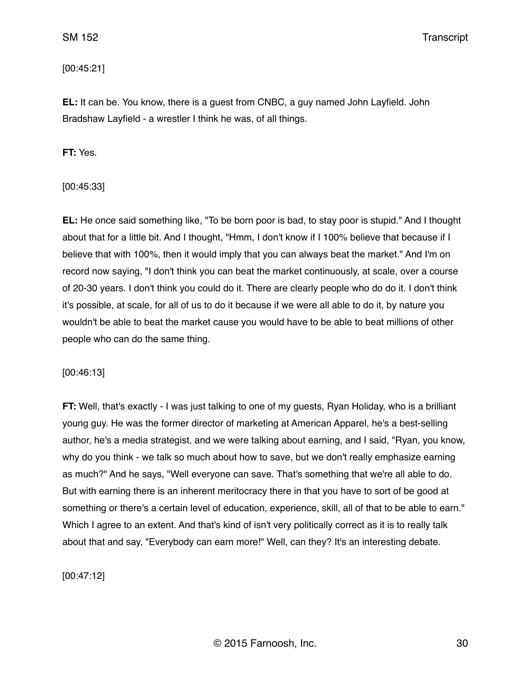### [00:45:21]

**EL:** It can be. You know, there is a guest from CNBC, a guy named John Layfield. John Bradshaw Layfield - a wrestler I think he was, of all things.

**FT:** Yes.

[00:45:33]

**EL:** He once said something like, "To be born poor is bad, to stay poor is stupid." And I thought about that for a little bit. And I thought, "Hmm, I don't know if I 100% believe that because if I believe that with 100%, then it would imply that you can always beat the market." And I'm on record now saying, "I don't think you can beat the market continuously, at scale, over a course of 20-30 years. I don't think you could do it. There are clearly people who do do it. I don't think it's possible, at scale, for all of us to do it because if we were all able to do it, by nature you wouldn't be able to beat the market cause you would have to be able to beat millions of other people who can do the same thing.

[00:46:13]

**FT:** Well, that's exactly - I was just talking to one of my guests, Ryan Holiday, who is a brilliant young guy. He was the former director of marketing at American Apparel, he's a best-selling author, he's a media strategist, and we were talking about earning, and I said, "Ryan, you know, why do you think - we talk so much about how to save, but we don't really emphasize earning as much?" And he says, "Well everyone can save. That's something that we're all able to do. But with earning there is an inherent meritocracy there in that you have to sort of be good at something or there's a certain level of education, experience, skill, all of that to be able to earn." Which I agree to an extent. And that's kind of isn't very politically correct as it is to really talk about that and say, "Everybody can earn more!" Well, can they? It's an interesting debate.

[00:47:12]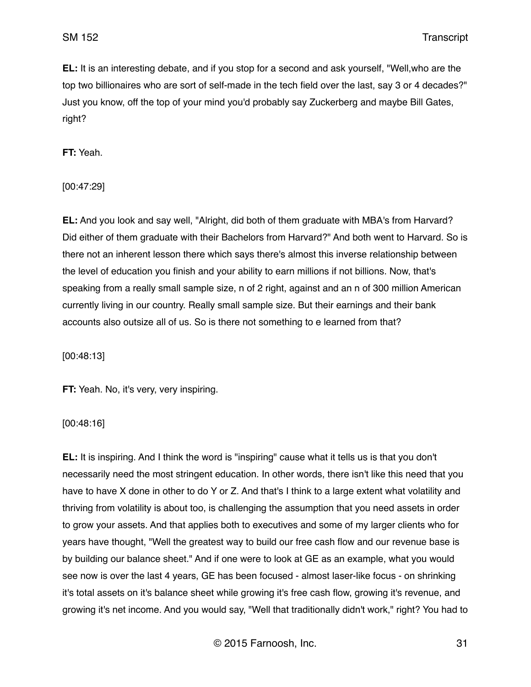**EL:** It is an interesting debate, and if you stop for a second and ask yourself, "Well,who are the top two billionaires who are sort of self-made in the tech field over the last, say 3 or 4 decades?" Just you know, off the top of your mind you'd probably say Zuckerberg and maybe Bill Gates, right?

**FT:** Yeah.

[00:47:29]

**EL:** And you look and say well, "Alright, did both of them graduate with MBA's from Harvard? Did either of them graduate with their Bachelors from Harvard?" And both went to Harvard. So is there not an inherent lesson there which says there's almost this inverse relationship between the level of education you finish and your ability to earn millions if not billions. Now, that's speaking from a really small sample size, n of 2 right, against and an n of 300 million American currently living in our country. Really small sample size. But their earnings and their bank accounts also outsize all of us. So is there not something to e learned from that?

[00:48:13]

**FT:** Yeah. No, it's very, very inspiring.

[00:48:16]

**EL:** It is inspiring. And I think the word is "inspiring" cause what it tells us is that you don't necessarily need the most stringent education. In other words, there isn't like this need that you have to have X done in other to do Y or Z. And that's I think to a large extent what volatility and thriving from volatility is about too, is challenging the assumption that you need assets in order to grow your assets. And that applies both to executives and some of my larger clients who for years have thought, "Well the greatest way to build our free cash flow and our revenue base is by building our balance sheet." And if one were to look at GE as an example, what you would see now is over the last 4 years, GE has been focused - almost laser-like focus - on shrinking it's total assets on it's balance sheet while growing it's free cash flow, growing it's revenue, and growing it's net income. And you would say, "Well that traditionally didn't work," right? You had to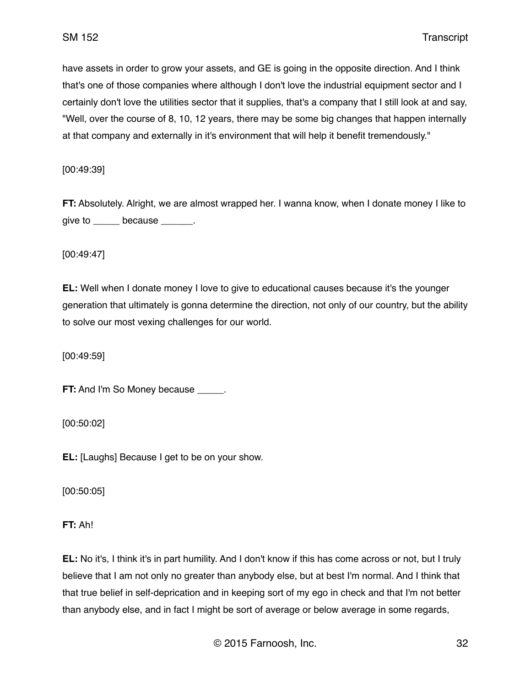have assets in order to grow your assets, and GE is going in the opposite direction. And I think that's one of those companies where although I don't love the industrial equipment sector and I certainly don't love the utilities sector that it supplies, that's a company that I still look at and say, "Well, over the course of 8, 10, 12 years, there may be some big changes that happen internally at that company and externally in it's environment that will help it benefit tremendously."

[00:49:39]

**FT:** Absolutely. Alright, we are almost wrapped her. I wanna know, when I donate money I like to give to \_\_\_\_\_\_ because \_\_\_\_\_\_.

[00:49:47]

**EL:** Well when I donate money I love to give to educational causes because it's the younger generation that ultimately is gonna determine the direction, not only of our country, but the ability to solve our most vexing challenges for our world.

[00:49:59]

**FT:** And I'm So Money because \_\_\_\_\_.

[00:50:02]

**EL:** [Laughs] Because I get to be on your show.

[00:50:05]

**FT:** Ah!

**EL:** No it's, I think it's in part humility. And I don't know if this has come across or not, but I truly believe that I am not only no greater than anybody else, but at best I'm normal. And I think that that true belief in self-deprication and in keeping sort of my ego in check and that I'm not better than anybody else, and in fact I might be sort of average or below average in some regards,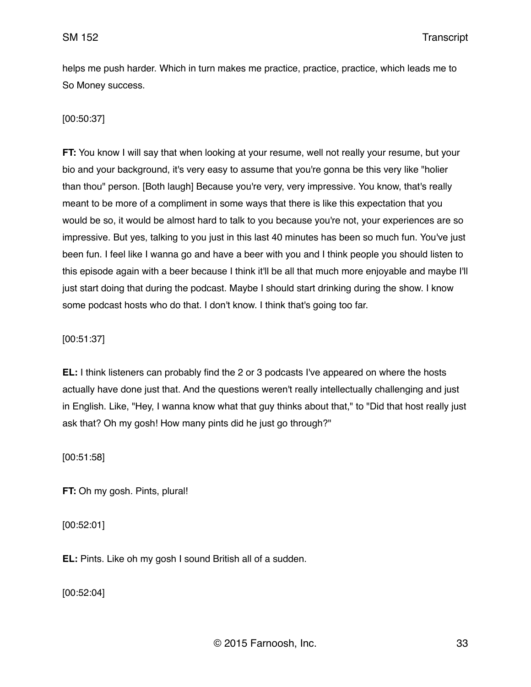helps me push harder. Which in turn makes me practice, practice, practice, which leads me to So Money success.

# [00:50:37]

**FT:** You know I will say that when looking at your resume, well not really your resume, but your bio and your background, it's very easy to assume that you're gonna be this very like "holier than thou" person. [Both laugh] Because you're very, very impressive. You know, that's really meant to be more of a compliment in some ways that there is like this expectation that you would be so, it would be almost hard to talk to you because you're not, your experiences are so impressive. But yes, talking to you just in this last 40 minutes has been so much fun. You've just been fun. I feel like I wanna go and have a beer with you and I think people you should listen to this episode again with a beer because I think it'll be all that much more enjoyable and maybe I'll just start doing that during the podcast. Maybe I should start drinking during the show. I know some podcast hosts who do that. I don't know. I think that's going too far.

[00:51:37]

**EL:** I think listeners can probably find the 2 or 3 podcasts I've appeared on where the hosts actually have done just that. And the questions weren't really intellectually challenging and just in English. Like, "Hey, I wanna know what that guy thinks about that," to "Did that host really just ask that? Oh my gosh! How many pints did he just go through?"

[00:51:58]

**FT:** Oh my gosh. Pints, plural!

[00:52:01]

**EL:** Pints. Like oh my gosh I sound British all of a sudden.

[00:52:04]